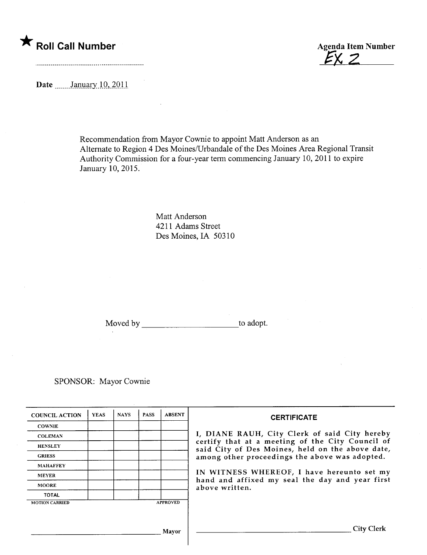# \* Roll Call Number Agenda Item Number

 $EXZ$ 

Date  $\frac{\text{January } 10, 2011}{\text{January } 10, 2011}$ 

and the contract of the contract of the contract of the contract of the contract of the contract of the contract of

Recommendation from Mayor Cownie to appoint Matt Anderson as an Alternate to Region 4 Des Moines/Urbandale of the Des Moines Area Regional Transit Authority Commission for a four-year term commencing January 10,2011 to expire January 10,2015.

> Matt Anderson 4211 Adams Street Des Moines, IA 50310

Moved by to adopt.

SPONSOR: Mayor Cownie

| <b>COUNCIL ACTION</b> | <b>YEAS</b> | <b>NAYS</b> | <b>PASS</b> | <b>ABSENT</b>   | <b>CERTIFICATE</b>                                                                                                                                                                                                                                                                                                         |
|-----------------------|-------------|-------------|-------------|-----------------|----------------------------------------------------------------------------------------------------------------------------------------------------------------------------------------------------------------------------------------------------------------------------------------------------------------------------|
| <b>COWNIE</b>         |             |             |             |                 | I, DIANE RAUH, City Clerk of said City hereby<br>certify that at a meeting of the City Council of<br>said City of Des Moines, held on the above date,<br>among other proceedings the above was adopted.<br>IN WITNESS WHEREOF, I have hereunto set my<br>hand and affixed my seal the day and year first<br>above written. |
| <b>COLEMAN</b>        |             |             |             |                 |                                                                                                                                                                                                                                                                                                                            |
| <b>HENSLEY</b>        |             |             |             |                 |                                                                                                                                                                                                                                                                                                                            |
| <b>GRIESS</b>         |             |             |             |                 |                                                                                                                                                                                                                                                                                                                            |
| <b>MAHAFFEY</b>       |             |             |             |                 |                                                                                                                                                                                                                                                                                                                            |
| <b>MEYER</b>          |             |             |             |                 |                                                                                                                                                                                                                                                                                                                            |
| <b>MOORE</b>          |             |             |             |                 |                                                                                                                                                                                                                                                                                                                            |
| <b>TOTAL</b>          |             |             |             |                 |                                                                                                                                                                                                                                                                                                                            |
| <b>MOTION CARRIED</b> |             |             |             | <b>APPROVED</b> |                                                                                                                                                                                                                                                                                                                            |
|                       |             |             |             |                 |                                                                                                                                                                                                                                                                                                                            |
| Mavor                 |             |             |             |                 | City Clerk                                                                                                                                                                                                                                                                                                                 |